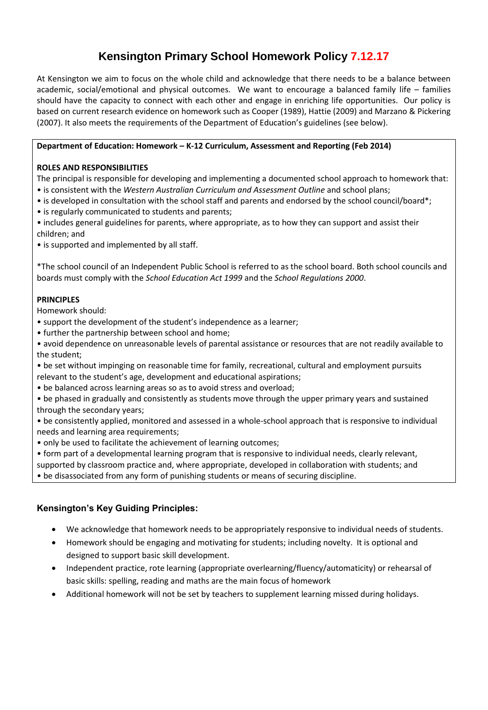# **Kensington Primary School Homework Policy 7.12.17**

At Kensington we aim to focus on the whole child and acknowledge that there needs to be a balance between academic, social/emotional and physical outcomes. We want to encourage a balanced family life – families should have the capacity to connect with each other and engage in enriching life opportunities. Our policy is based on current research evidence on homework such as Cooper (1989), Hattie (2009) and Marzano & Pickering (2007). It also meets the requirements of the Department of Education's guidelines (see below).

#### **Department of Education: Homework – K-12 Curriculum, Assessment and Reporting (Feb 2014)**

#### **ROLES AND RESPONSIBILITIES**

The principal is responsible for developing and implementing a documented school approach to homework that: • is consistent with the *Western Australian Curriculum and Assessment Outline* and school plans;

- is developed in consultation with the school staff and parents and endorsed by the school council/board\*;
- is regularly communicated to students and parents;
- includes general guidelines for parents, where appropriate, as to how they can support and assist their children; and
- is supported and implemented by all staff.

\*The school council of an Independent Public School is referred to as the school board. Both school councils and boards must comply with the *School Education Act 1999* and the *School Regulations 2000*.

### **PRINCIPLES**

Homework should:

- support the development of the student's independence as a learner;
- further the partnership between school and home;
- avoid dependence on unreasonable levels of parental assistance or resources that are not readily available to the student;
- be set without impinging on reasonable time for family, recreational, cultural and employment pursuits relevant to the student's age, development and educational aspirations;
- be balanced across learning areas so as to avoid stress and overload;
- be phased in gradually and consistently as students move through the upper primary years and sustained through the secondary years;
- be consistently applied, monitored and assessed in a whole-school approach that is responsive to individual needs and learning area requirements;
- only be used to facilitate the achievement of learning outcomes;
- form part of a developmental learning program that is responsive to individual needs, clearly relevant,
- supported by classroom practice and, where appropriate, developed in collaboration with students; and

• be disassociated from any form of punishing students or means of securing discipline.

## **Kensington's Key Guiding Principles:**

- We acknowledge that homework needs to be appropriately responsive to individual needs of students.
- Homework should be engaging and motivating for students; including novelty. It is optional and designed to support basic skill development.
- Independent practice, rote learning (appropriate overlearning/fluency/automaticity) or rehearsal of basic skills: spelling, reading and maths are the main focus of homework
- Additional homework will not be set by teachers to supplement learning missed during holidays.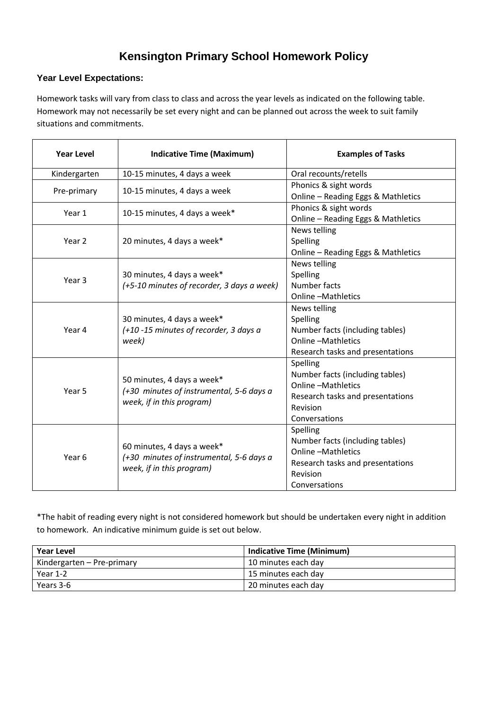# **Kensington Primary School Homework Policy**

### **Year Level Expectations:**

Homework tasks will vary from class to class and across the year levels as indicated on the following table. Homework may not necessarily be set every night and can be planned out across the week to suit family situations and commitments.

| <b>Year Level</b> | <b>Indicative Time (Maximum)</b>                                                                    | <b>Examples of Tasks</b>           |
|-------------------|-----------------------------------------------------------------------------------------------------|------------------------------------|
| Kindergarten      | 10-15 minutes, 4 days a week                                                                        | Oral recounts/retells              |
| Pre-primary       | 10-15 minutes, 4 days a week                                                                        | Phonics & sight words              |
|                   |                                                                                                     | Online - Reading Eggs & Mathletics |
| Year 1            | 10-15 minutes, 4 days a week*                                                                       | Phonics & sight words              |
|                   |                                                                                                     | Online - Reading Eggs & Mathletics |
| Year 2            | 20 minutes, 4 days a week*                                                                          | News telling                       |
|                   |                                                                                                     | Spelling                           |
|                   |                                                                                                     | Online - Reading Eggs & Mathletics |
| Year 3            | 30 minutes, 4 days a week*<br>(+5-10 minutes of recorder, 3 days a week)                            | News telling                       |
|                   |                                                                                                     | Spelling                           |
|                   |                                                                                                     | Number facts                       |
|                   |                                                                                                     | <b>Online-Mathletics</b>           |
| Year 4            | 30 minutes, 4 days a week*<br>(+10 -15 minutes of recorder, 3 days a<br>week)                       | News telling                       |
|                   |                                                                                                     | Spelling                           |
|                   |                                                                                                     | Number facts (including tables)    |
|                   |                                                                                                     | <b>Online -Mathletics</b>          |
|                   |                                                                                                     | Research tasks and presentations   |
| Year 5            | 50 minutes, 4 days a week*<br>(+30 minutes of instrumental, 5-6 days a<br>week, if in this program) | Spelling                           |
|                   |                                                                                                     | Number facts (including tables)    |
|                   |                                                                                                     | <b>Online -Mathletics</b>          |
|                   |                                                                                                     | Research tasks and presentations   |
|                   |                                                                                                     | Revision                           |
|                   |                                                                                                     | Conversations                      |
| Year <sub>6</sub> | 60 minutes, 4 days a week*<br>(+30 minutes of instrumental, 5-6 days a<br>week, if in this program) | Spelling                           |
|                   |                                                                                                     | Number facts (including tables)    |
|                   |                                                                                                     | <b>Online -Mathletics</b>          |
|                   |                                                                                                     | Research tasks and presentations   |
|                   |                                                                                                     | Revision                           |
|                   |                                                                                                     | Conversations                      |

\*The habit of reading every night is not considered homework but should be undertaken every night in addition to homework. An indicative minimum guide is set out below.

| <b>Year Level</b>          | <b>Indicative Time (Minimum)</b> |
|----------------------------|----------------------------------|
| Kindergarten – Pre-primary | 10 minutes each day              |
| Year 1-2                   | 15 minutes each day              |
| Years 3-6                  | 20 minutes each day              |